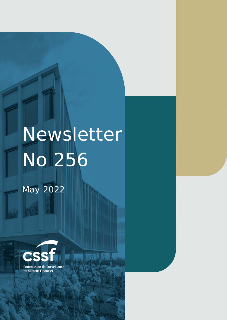# Newsletter No 256

矋

Commission de Surveillance du NEWSLETTER NO 252 JANUARY **2022** Section Financier Financier page 1988 – 1988 – 1988 – 1988 – 1988 – 1988 – 1988 – 1988 – 1988 – 1988 – 1988 – 1

## May 2022

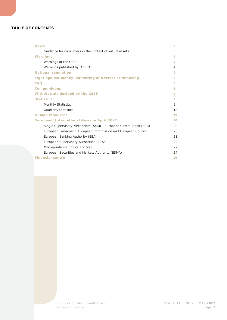#### **TABLE OF CONTENTS**

| 3                                                                                                                                                                                                                                                                                                                                                                                                  |
|----------------------------------------------------------------------------------------------------------------------------------------------------------------------------------------------------------------------------------------------------------------------------------------------------------------------------------------------------------------------------------------------------|
| 3                                                                                                                                                                                                                                                                                                                                                                                                  |
| 4.                                                                                                                                                                                                                                                                                                                                                                                                 |
| 4                                                                                                                                                                                                                                                                                                                                                                                                  |
| 4                                                                                                                                                                                                                                                                                                                                                                                                  |
| 4.                                                                                                                                                                                                                                                                                                                                                                                                 |
| 6                                                                                                                                                                                                                                                                                                                                                                                                  |
| 8                                                                                                                                                                                                                                                                                                                                                                                                  |
| 8                                                                                                                                                                                                                                                                                                                                                                                                  |
| 9                                                                                                                                                                                                                                                                                                                                                                                                  |
| 9                                                                                                                                                                                                                                                                                                                                                                                                  |
| 9                                                                                                                                                                                                                                                                                                                                                                                                  |
| 18                                                                                                                                                                                                                                                                                                                                                                                                 |
| 19                                                                                                                                                                                                                                                                                                                                                                                                 |
| 20                                                                                                                                                                                                                                                                                                                                                                                                 |
| 20                                                                                                                                                                                                                                                                                                                                                                                                 |
| 20                                                                                                                                                                                                                                                                                                                                                                                                 |
| 21                                                                                                                                                                                                                                                                                                                                                                                                 |
| 22                                                                                                                                                                                                                                                                                                                                                                                                 |
| 22                                                                                                                                                                                                                                                                                                                                                                                                 |
| 24                                                                                                                                                                                                                                                                                                                                                                                                 |
| 26                                                                                                                                                                                                                                                                                                                                                                                                 |
| Guidance for consumers in the context of virtual assets<br>Fight against money laundering and terrorist financing<br>European/International News in April 2022<br>Single Supervisory Mechanism (SSM) - European Central Bank (ECB)<br>European Parliament, European Commission and European Council<br>European Supervisory Authorities (ESAs)<br>European Securities and Markets Authority (ESMA) |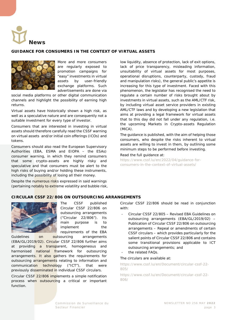<span id="page-2-0"></span>

#### <span id="page-2-1"></span>**GUIDANCE FOR CONSUMERS IN THE CONTEXT OF VIRTUAL ASSETS**



More and more consumers are regularly exposed to promotion campaigns for "easy" investments in virtual assets by user-friendly exchange platforms. Such advertisements are done via

social media platforms or other digital communication channels and highlight the possibility of earning high returns.

Virtual assets have historically shown a high risk, as well as a speculative nature and are consequently not a suitable investment for every type of investor.

Consumers that are interested in investing in virtual assets should therefore carefully read the CSSF warning on virtual assets and/or initial coin offerings (ICOs) and tokens.

Consumers should also read the European Supervisory Authorities (EBA, ESMA and EIOPA – the ESAs) consumer warning, in which they remind consumers that some crypto-assets are highly risky and speculative and that consumers must be alert to the high risks of buying and/or holding these instruments, including the possibility of losing all their money.

Despite the numerous risks expressed in said warnings (pertaining notably to extreme volatility and bubble risk, low liquidity, absence of protection, lack of exit options, lack of price transparency, misleading information, unsuitability of virtual assets for most purposes, operational disruptions, counterparty, custody, fraud and manipulation risks), the general public's appetite is increasing for this type of investment. Faced with this phenomenon, the legislator has recognised the need to regulate a certain number of risks brought about by investments in virtual assets, such as the AML/CTF risk, by including virtual asset service providers in existing AML/CTF laws and by developing a new legislation that aims at providing a legal framework for virtual assets that to this day did not fall under any regulation, i.e. the upcoming Markets in Crypto-assets Regulation (MiCA).

The guidance is published, with the aim of helping those consumers, who despite the risks inherent to virtual assets are willing to invest in them, by outlining some minimum steps to be performed before investing.

#### Read the full guidance at:

[https://www.cssf.lu/en/2022/04/guidance-for](https://www.cssf.lu/en/2022/04/guidance-for-consumers-in-the-context-of-virtual-assets/)[consumers-in-the-context-of-virtual-assets/](https://www.cssf.lu/en/2022/04/guidance-for-consumers-in-the-context-of-virtual-assets/)

#### **CIRCULAR CSSF 22/806 ON OUTSOURCING ARRANGEMENTS**



The CSSF published Circular CSSF 22/806 on outsourcing arrangements ("Circular 22/806"). Its main purpose is to implement the requirements of the EBA

Guidelines on outsourcing arrangements (EBA/GL/2019/02). Circular CSSF 22/806 further aims at providing a transparent, homogeneous and harmonised national framework for outsourcing arrangements. It also gathers the requirements for outsourcing arrangements relating to information and communication technology ("ICT"), that were previously disseminated in individual CSSF circulars.

Circular CSSF 22/806 implements a simple notification process when outsourcing a critical or important function.

Circular CSSF 22/806 should be read in conjunction with:

- Circular CSSF 22/805 Revised EBA Guidelines on outsourcing arrangements (EBA/GL/2019/02) – Publication of Circular CSSF 22/806 on outsourcing arrangements – Repeal or amendments of certain CSSF circulars – which provides particularly for the salient points of Circular CSSF 22/806 and contains some transitional provisions applicable to ICT outsourcing arrangements; and
- the related FAQs.

#### The circulars are available at:

[https://www.cssf.lu/en/Document/circular-cssf-22-](https://www.cssf.lu/en/Document/circular-cssf-22-805/) [805/](https://www.cssf.lu/en/Document/circular-cssf-22-805/)

[https://www.cssf.lu/en/Document/circular-cssf-22-](https://www.cssf.lu/en/Document/circular-cssf-22-806/) [806/](https://www.cssf.lu/en/Document/circular-cssf-22-806/)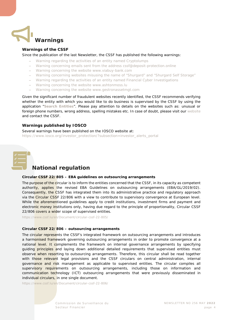<span id="page-3-0"></span>

#### <span id="page-3-1"></span>**Warnings of the CSSF**

Since the publication of the last Newsletter, the CSSF has published the following warnings:

- [Warning regarding the activities of an entity named Cryptolumps](https://www.cssf.lu/en/2022/04/warning-regarding-the-activities-of-an-entity-named-cryptolumps/)
- − [Warning concerning emails sent from the address cssf@deposit-protection.online](https://www.cssf.lu/en/2022/04/warning-concerning-emails-sent-from-the-address-cssfdeposit-protection-online/)
- − [Warning concerning the website www.viabuy-bank.com](https://www.cssf.lu/en/2022/04/warning-concerning-the-website-www-viabuy-bank-com/)
- − [Warning concerning websites misusing the name of "Shurgard" and "Shurgard Self Storage"](https://www.cssf.lu/en/2022/04/warning-concerning-websites-misusing-the-name-of-shurgard-and-shurgard-self-storage/)
- − [Warning regarding the activities of an entity named Financial Cyber Investigations](https://www.cssf.lu/en/2022/04/warning-regarding-the-activities-of-an-entity-named-financial-cyber-investigations/)
- − [Warning concerning the website www.ashtonmoss.lu](https://www.cssf.lu/en/2022/04/warning-concerning-the-website-www-ashtonmoss-lu/)
- − [Warning concerning the website www.gestronassetmgt.com](https://www.cssf.lu/en/2022/05/warning-concerning-the-website-www-gestronassetmgt-com/)

Given the significant number of fraudulent websites recently identified, the CSSF recommends verifying whether the entity with which you would like to do business is supervised by the CSSF by using the application "**[Search Entities](https://searchentities.apps.cssf.lu/search-entities/search?lng=en)**". Please pay attention to details on the websites such as: unusual or foreign phone numbers, wrong address, spelling mistakes etc. In case of doubt, please visit our [website](https://www.cssf.lu/en/financial-fraud/) and contact the CSSF.

#### <span id="page-3-2"></span>**Warnings published by IOSCO**

Several warnings have been published on the IOSCO website at: [https://www.iosco.org/investor\\_protection/?subsection=investor\\_alerts\\_portal](https://www.iosco.org/investor_protection/?subsection=investor_alerts_portal)

<span id="page-3-3"></span>

### **National regulation**

#### **Circular CSSF 22/805 – EBA guidelines on outsourcing arrangements**

The purpose of the circular is to inform the entities concerned that the CSSF, in its capacity as competent authority, applies the revised EBA Guidelines on outsourcing arrangements (EBA/GL/2019/02). Consequently, the CSSF has integrated them into its administrative practice and regulatory approach via the Circular CSSF 22/806 with a view to contribute to supervisory convergence at European level. While the aforementioned guidelines apply to credit institutions, investment firms and payment and electronic money institutions only, having due regard to the principle of proportionality, Circular CSSF 22/806 covers a wider scope of supervised entities.

<https://www.cssf.lu/en/Document/circular-cssf-22-805/>

#### **Circular CSSF 22/806 – outsourcing arrangements**

The circular represents the CSSF's integrated framework on outsourcing arrangements and introduces a harmonised framework governing outsourcing arrangements in order to promote convergence at a national level. It complements the framework on internal governance arrangements by specifying guiding principles and laying down additional detailed requirements that supervised entities must observe when resorting to outsourcing arrangements. Therefore, this circular shall be read together with those relevant legal provisions and the CSSF circulars on central administration, internal governance and risk management as applicable to supervised entities. The circular compiles all supervisory requirements on outsourcing arrangements, including those on information and communication technology (ICT) outsourcing arrangements that were previously disseminated in individual circulars, in one single document.

<https://www.cssf.lu/en/Document/circular-cssf-22-806/>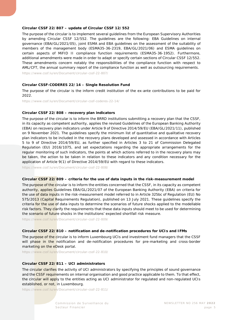#### **Circular CSSF 22/807 – update of Circular CSSF 12/552**

The purpose of the circular is to implement several guidelines from the European Supervisory Authorities by amending Circular CSSF 12/552. The guidelines are the following: EBA Guidelines on internal governance (EBA/GL/2021/05), joint ESMA and EBA guidelines on the assessment of the suitability of members of the management body (ESMA35-36-2319, EBA/GL/2021/06) and ESMA guidelines on certain aspects of MiFID II compliance function requirements (ESMA35-36-1952). Furthermore, additional amendments were made in order to adapt or specify certain sections of Circular CSSF 12/552. These amendments concern notably the responsibilities of the compliance function with respect to AML/CFT, the annual summary report of the compliance function as well as outsourcing requirements.

<https://www.cssf.lu/en/Document/circular-cssf-22-807/>

#### **Circular CSSF-CODERES 22/14 – Single Resolution Fund**

The purpose of the circular is the inform credit institution of the ex-ante contributions to be paid for 2022.

<https://www.cssf.lu/en/Document/circular-cssf-coderes-22-14/>

#### **Circular CSSF 22/808 – recovery plan indicators**

The purpose of the circular is to inform the BRRD institutions submitting a recovery plan that the CSSF, in its capacity as competent authority, applies the revised Guidelines of the European Banking Authority (EBA) on recovery plan indicators under Article 9 of Directive 2014/59/EU (EBA/GL/2021/11), published on 9 November 2021. The guidelines specify the minimum list of quantitative and qualitative recovery plan indicators to be included in the recovery plans developed and assessed in accordance with Articles 5 to 9 of Directive 2014/59/EU, as further specified in Articles 3 to 21 of Commission Delegated Regulation (EU) 2016/1075, and set expectations regarding the appropriate arrangements for the regular monitoring of such indicators, the points at which actions referred to in the recovery plans may be taken, the action to be taken in relation to these indicators and any condition necessary for the application of Article 9(1) of Directive 2014/59/EU with regard to these indicators.

<https://www.cssf.lu/en/Document/circular-cssf-22-808/>

#### **Circular CSSF 22/809 – criteria for the use of data inputs in the risk-measurement model**

The purpose of the circular is to inform the entities concerned that the CSSF, in its capacity as competent authority, applies Guidelines EBA/GL/2021/07 of the European Banking Authority (EBA) on criteria for the use of data inputs in the risk-measurement model referred to in Article 325bc of Regulation (EU) No 575/2013 (Capital Requirements Regulation), published on 13 July 2021. These guidelines specify the criteria for the use of data inputs to determine the scenarios of future shocks applied to the modellable risk factors. They clarify the requirements that these data inputs should meet to be used for determining the scenario of future shocks in the institutions' expected shortfall risk measure.

<https://www.cssf.lu/en/Document/circular-cssf-22-809/>

#### **Circular CSSF 22/810 – notification and de-notification procedures for UCIs and IFMs**

The purpose of the circular is to inform Luxembourg UCIs and investment fund managers that the CSSF will phase in the notification and de-notification procedures for pre-marketing and cross-border marketing on the eDesk portal.

<https://www.cssf.lu/en/Document/circular-cssf-22-810/>

#### **Circular CSSF 22/811 – UCI administrators**

The circular clarifies the activity of UCI administrators by specifying the principles of sound governance and the CSSF requirements on internal organisation and good practice applicable to them. To that effect, the circular will apply to the entities acting as UCI administrator for regulated and non-regulated UCIs established, or not, in Luxembourg.

<https://www.cssf.lu/en/Document/circular-cssf-22-811/>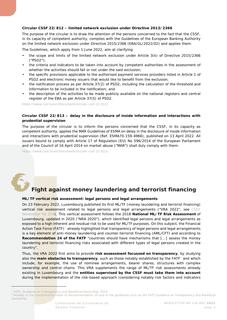#### **Circular CSSF 22/812 – limited network exclusion under Directive 2013/2366**

The purpose of the circular is to draw the attention of the persons concerned to the fact that the CSSF, in its capacity of competent authority, complies with the Guidelines of the European Banking Authority on the limited network exclusion under Directive 2015/2366 (EBA/GL/2022/02) and applies them.

The Guidelines, which apply from 1 June 2022, aim at clarifying:

- the scope and limits of the limited network exclusion under Article 3(k) of Directive 2015/2366 ("PSD2");
- the criteria and indicators to be taken into account by competent authorities in the assessment of whether the activities should fall or not under the said exclusion;
- the specific provisions applicable to the authorised payment services providers listed in Article 1 of PSD2 and electronic money issuers that would like to benefit from the exclusion;
- the notification process as per Article 37(2) of PSD2, including the calculation of the threshold and information to be included in the notification; and
- the description of the activities to be made publicly available on the national registers and central register of the EBA as per Article 37(5) of PSD2.

<https://www.cssf.lu/en/Document/circular-cssf-22-812/>

#### **Circular CSSF 22/813 – delay in the disclosure of inside information and interactions with prudential supervision**

The purpose of the circular is to inform the persons concerned that the CSSF, in its capacity as competent authority, applies the MAR Guidelines of ESMA on delay in the disclosure of inside information and interactions with prudential supervision (Ref. ESMA70-159-4966), published on 13 April 2022. All issuers bound to comply with Article 17 of Regulation (EU) No 596/2014 of the European Parliament and of the Council of 16 April 2014 on market abuse ("MAR") shall duly comply with them.

<https://www.cssf.lu/en/Document/circular-cssf-22-813/>

<span id="page-5-0"></span>

l

## **Fight against money laundering and terrorist financing**

#### **ML/TF vertical risk assessment: legal persons and legal arrangements**

On 23 February 2022, Luxembourg published its first ML/TF (money laundering and terrorist financing) vertical risk assessment related to legal persons and legal arrangements ("VRA 2022", see CSSF [Newsletter No 254\)](https://www.cssf.lu/en/Document/cssf-newsletter-no-254-march-2022/). This vertical assessment follows the 2018 **National ML/TF Risk Assessment** of Luxembourg, updated in 2020 ("NRA 2020"), which identified legal persons and legal arrangements as exposed to a high inherent and residual risk to be used for ML/TF purposes. On this subject, the Financial Action Task Force (FATF)<sup>[1](#page-5-1)</sup> already highlighted that transparency of legal persons and legal arrangements is a key element of anti-money laundering and counter-terrorist financing (AML/CFT) and according to **Recommendation 24 of the FATF** "*countries should have mechanisms that [...] assess the money*  laundering and terrorist financing risks associated with different types of legal persons created in the *country*".

Thus, the VRA 2022 first aims to provide **risk assessment focussed on transparency**, by studying also the **main obstacles to transparency**, such as those notably established by the FATF<sup>[2](#page-5-2)</sup> and which include, for example, the use of nominee arrangements, bearer shares, structures with complex ownership and control chains. This VRA supplements the range of ML/TF risk assessments already existing in Luxembourg and the **entities supervised by the CSSF must take them into account** during the implementation of the risk-based approach (considering notably risk factors and indicators

<span id="page-5-1"></span>*<sup>1</sup> FATF, Guidance on Transparency and Beneficial Ownership, 2014*

<span id="page-5-2"></span><sup>&</sup>lt;sup>2</sup> Notably in the interpretative notes to Recommendation 24 and in the guidelines such as the FATF Guidance on Transparency and Beneficial *Ownership*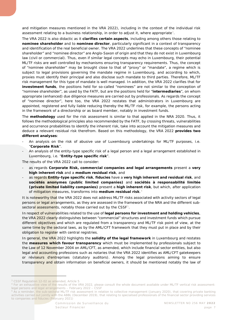and mitigation measures mentioned in the VRA 2022), including in the context of the individual risk assessment relating to a business relationship, in order to adjust it, where appropriate<sup>[3](#page-6-0)</sup>.

The VRA 2022 is also didactic as it **clarifies certain aspects**, including among others those relating to **nominee shareholder** and to **nominee director**, particularly significant in a context of transparency and identification of the real beneficial owner. The VRA 2022 underlines that these concepts of "nominee shareholder" and "nominee director" are Anglo-Saxon of origin and that they do not exist in Luxembourg law (civil or commercial). Thus, even if similar legal concepts may echo in Luxembourg, their potential ML/TF risks are well controlled by mechanisms ensuring transparency requirements. Thus, the concept of "nominee shareholder" may be brought close to that of "proxy" or "mandate", a regime which is subject to legal provisions governing the mandate regime in Luxembourg, and according to which, proxies must identify their principal and also disclose such mandate to third parties. Therefore, ML/TF risk management for this type of mandate is well managed. In addition, the VRA 2022 clarifies that for **investment funds**, the positions held for so-called "nominees" are not similar to the conception of "nominee shareholder", as used by the FATF, but are the positions held for "**intermediaries**", on whom appropriate (enhanced) due diligence measures are carried out by professionals. As regards the concept of "nominee director", here too, the VRA 2022 restates that administrators in Luxembourg are appointed, registered and fully liable reducing thereby the ML/TF risk, for example, the persons acting in the framework of a directorship or as board member, notably in investment funds.

The **methodology** used for the risk assessment is similar to that applied in the NRA 2020. Thus, it follows the methodological principles also recommended by the FATF, by crossing threats, vulnerabilities and occurrence probabilities to identify the inherent risk, take into account the mitigation measures and deduce a relevant residual risk therefrom. Based on this methodology, the VRA 2022 **provides two different analyses**:

- An analysis on the risk of abusive use of Luxembourg undertakings for ML/TF purposes, i.e. "**Corporate Risk**".
- An analysis of the entity-type specific risk of a legal person and a legal arrangement established in Luxembourg, i.e. "**Entity-type specific risk**".

The results of the VRA 2022 call to consider:

- as regards **Corporate Risk, commercial companies and legal arrangements** present a **very high inherent risk** and a **medium residual risk**, and
- as regards **Entity-type specific risk**, *fiducies* have a **very high inherent and residual risk**, and *sociétés anonymes* **(public limited companies)** and *sociétés à responsabilité limitée* **(private limited liability companies)** present a **high inherent risk**, but which, after application of mitigation measures, transforms into **medium residual risk**.[4](#page-6-1)

It is noteworthy that the VRA 2022 does not address ML/TF risks associated with activity sectors of legal persons or legal arrangements, as they are assessed in the framework of the NRA and the different subsectoral assessments, notably those carried out by the CSSF<sup>5</sup>.

In respect of vulnerabilities related to the use of **legal persons for investment and holding vehicles**, the VRA 2022 clearly distinguishes between "commercial" structures and investment funds which pursue different objectives and which are regulated from a transparency and ML/TF risk point of view, at the same time by the sectoral laws, as by the AML/CFT framework that they must put in place and by their obligation to register with central registries.

In general, the VRA 2022 highlights the **solidity of the legal framework** in Luxembourg and restates the **measures which favour transparency** which must be implemented by professionals subject to the Law of 12 November 2004 on AML/CFT, as amended, which include financial sector entities, but also legal and accounting professions such as notaries that the VRA 2022 identifies as AML/CFT gatekeepers or *réviseurs d'entreprises* (statutory auditors). Among the legal provisions aiming to ensure transparency and obtain information on beneficial owners, it should be mentioned notably the law of

l

<span id="page-6-0"></span>*<sup>3</sup> CSSF Regulation 12-02 as amended, Article 5*

<span id="page-6-1"></span>*<sup>4</sup> For an exhaustive view of the results of the VRA 2022, please consult the whole document available under [ML/TF vertical risk assessment:](https://www.cssf.lu/en/Document/ml-tf-vertical-risk-assessment-legal-persons-and-legal-arrangements-february-2022/)  [legal persons and legal arrangements –](https://www.cssf.lu/en/Document/ml-tf-vertical-risk-assessment-legal-persons-and-legal-arrangements-february-2022/) February 2022 – CSSF*

<span id="page-6-2"></span>*<sup>5</sup> As a reminder, the sub-sectoral ML/TF risk assessment in relation to collective management (January 2020), that covering private banking activities carried out jointly with the ABBL (December 2019), that relating to specialised professionals of the financial sector providing services to companies and fiducies (February 2021)*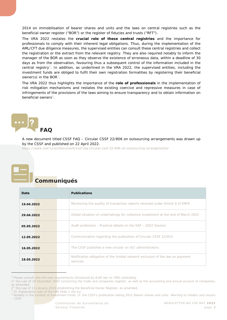2014 on immobilisation of bearer shares and units and the laws on central registries such as the beneficial owner register ("BOR") or the register of *fiducies* and trusts ("RFT").

The VRA 2022 restates the **crucial role of these central registries** and the importance for professionals to comply with their inherent legal obligations. Thus, during the implementation of the AML/CFT due diligence measures, the supervised entities can consult these central registries and collect the registration or the extract from the relevant registry. They are also required notably to inform the manager of the BOR as soon as they observe the existence of erroneous data, within a deadline of 30 days as from the observation, favouring thus a subsequent control of the information included in the central registry<sup>6</sup>. In addition, as underlined in the VRA 2022, the supervised entities, including the investment funds are obliged to fulfil their own registration formalities by registering their beneficial owner(s) in the BOR<sup>7</sup>.

The VRA 2022 thus highlights the importance of the **role of professionals** in the implementation of risk mitigation mechanisms and restates the existing coercive and repressive measures in case of infringements of the provisions of the laws aiming to ensure transparency and to obtain information on beneficial owners<sup>8</sup>

<span id="page-7-0"></span>

A new document titled *CSSF FAQ – Circular CSSF 22/806 on outsourcing arrangements* was drawn up by the CSSF and published on 22 April 2022.

<https://www.cssf.lu/en/Document/cssf-faq-circular-cssf-22-806-on-outsourcing-arrangements/>

<span id="page-7-1"></span>

j

## **Communiqués**

| Date       | <b>Publications</b>                                                                        |
|------------|--------------------------------------------------------------------------------------------|
| 19.04.2022 | Monitoring the quality of transaction reports received under Article 9 of EMIR             |
| 29.04.2022 | Global situation of undertakings for collective investment at the end of March 2022        |
| 05.05.2022 | Audit profession: Practical details on the EAP - 2022 Session                              |
| 12.05.2022 | Communication regarding the publication of Circular CSSF 22/810                            |
| 16.05.2022 | The CSSF publishes a new circular on UCI administrators                                    |
| 18.05.2022 | Notification obligation of the limited network exclusion of the law on payment<br>services |

<span id="page-7-2"></span>*<sup>6</sup> Please consult also the new requirements introduced by draft law no 7961 amending:*

<span id="page-7-3"></span>*<sup>7</sup> Cf. Explanatory note of the LBR Slide 1 (lbr.lu)*

*<sup>1°</sup> the Law of 19 December 2002 concerning the trade and companies register, as well as the accounting and annual account of companies, as amended;*

*<sup>2°</sup> the Law of 13 January 2019 establishing the Beneficial Owner Register, as amended,*

<span id="page-7-4"></span>*<sup>8</sup> Notably in the context of investment funds, cf. the CSSF's publication dating 2015 [Bearer shares and units: Warning to holders and issuers](https://www.cssf.lu/en/2015/03/bearer-shares-and-units-warning-to-holders-and-issuers/)  – [CSSF](https://www.cssf.lu/en/2015/03/bearer-shares-and-units-warning-to-holders-and-issuers/)*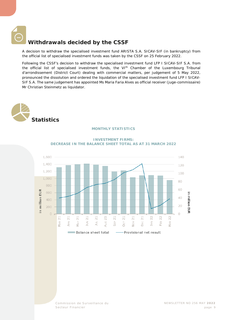<span id="page-8-0"></span>

### **Withdrawals decided by the CSSF**

A decision to withdraw the specialised investment fund ARISTA S.A. SICAV-SIF (in bankruptcy) from the official list of specialised investment funds was taken by the CSSF on 25 February 2022.

Following the CSSF's decision to withdraw the specialised investment fund LFP I SICAV-SIF S.A. from the official list of specialised investment funds, the VIth Chamber of the Luxembourg *Tribunal d'arrondissement* (District Court) dealing with commercial matters, per judgement of 5 May 2022, pronounced the dissolution and ordered the liquidation of the specialised investment fund LFP I SICAV-SIF S.A. The same judgement has appointed Ms Maria Faria Alves as official receiver (*juge-commissaire*) Mr Christian Steinmetz as liquidator.

<span id="page-8-2"></span><span id="page-8-1"></span>

#### **MONTHLY STATISTICS**



**INVESTMENT FIRMS: DECREASE IN THE BALANCE SHEET TOTAL AS AT 31 MARCH 2022**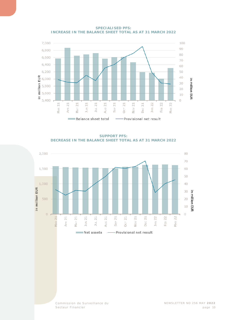

**SPECIALISED PFS: INCREASE IN THE BALANCE SHEET TOTAL AS AT 31 MARCH 2022** 

**SUPPORT PFS: DECREASE IN THE BALANCE SHEET TOTAL AS AT 31 MARCH 2022**

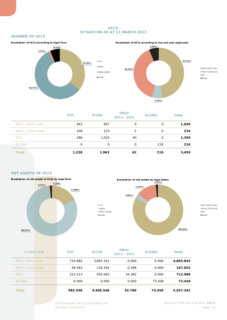#### **UCIS: SITUATION AS AT 31 MARCH 2022**

#### **NUMBER OF UCIS**





Part I (2010 Law) Part II (2010 Law)  $IFIS$  $\square$ SICAR

|                    | <b>FCP</b> | <b>SICAV</b> | Other<br>UCIS / SIFS | <b>SICARS</b> | <b>Total</b> |
|--------------------|------------|--------------|----------------------|---------------|--------------|
| Part I (2010 Law)  | 843        | 807          | 0                    | 0             | 1,650        |
| Part II (2010 Law) | 109        | 123          | 2                    | 0             | 234          |
| <b>SIFS</b>        | 286        | 1,033        | 40                   | 0             | 1,359        |
| <b>SICARS</b>      | 0          | 0            | $\Omega$             | 216           | 216          |
| <b>Total</b>       | 1,238      | 1,963        | 42                   | 216           | 3,459        |

#### **NET ASSETS OF UCIS**





**Part I** (2010 Law)  $Part II (2010 Law)$  $IFIS$  $\square$  SICAR

| in billion EUR     | <b>FCP</b> | <b>SICAV</b> | <b>Other</b><br>UCIS / SIFS | <b>SICARS</b> | <b>Total</b> |
|--------------------|------------|--------------|-----------------------------|---------------|--------------|
| Part I (2010 Law)  | 710.682    | 3.893.161    | 0.000                       | 0.000         | 4,603.843    |
| Part II (2010 Law) | 48.363     | 118.292      | 0.398                       | 0.000         | 167.053      |
| <b>SIFs</b>        | 223.513    | 455.093      | 34.382                      | 0.000         | 712.988      |
| <b>SICARS</b>      | 0.000      | 0.000        | 0.000                       | 73.458        | 73.458       |
| <b>Total</b>       | 982.558    | 4,466.546    | 34.780                      | 73.458        | 5,557,342    |

 $EFCP$ 

 $\equiv$  SICAV

 $\square$  SICAR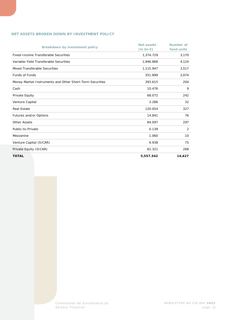#### **NET ASSETS BROKEN DOWN BY INVESTMENT POLICY**

| <b>Breakdown by investment policy</b>                    | <b>Net assets</b><br>$(in bn \in)$ | <b>Number of</b><br>fund units |
|----------------------------------------------------------|------------------------------------|--------------------------------|
| <b>Fixed-Income Transferable Securities</b>              | 1,374.729                          | 3,170                          |
| Variable-Yield Transferable Securities                   | 1,946.868                          | 4,124                          |
| Mixed Transferable Securities                            | 1,115.947                          | 3,517                          |
| <b>Funds of Funds</b>                                    | 351.899                            | 2,074                          |
| Money Market Instruments and Other Short-Term Securities | 393.615                            | 204                            |
| Cash                                                     | 10.476                             | 9                              |
| Private Equity                                           | 68.072                             | 242                            |
| Venture Capital                                          | 3.286                              | 32                             |
| <b>Real Estate</b>                                       | 120.054                            | 327                            |
| Futures and/or Options                                   | 14.841                             | 76                             |
| <b>Other Assets</b>                                      | 84.097                             | 297                            |
| Public-to-Private                                        | 0.139                              | 2                              |
| Mezzanine                                                | 1.060                              | 10                             |
| Venture Capital (SICAR)                                  | 9.938                              | 75                             |
| Private Equity (SICAR)                                   | 62.321                             | 268                            |
| <b>TOTAL</b>                                             | 5,557.342                          | 14,427                         |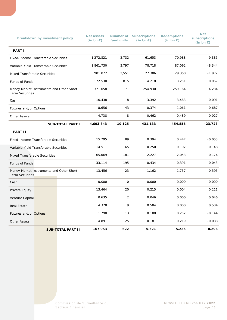|                                                                     | Breakdown by investment policy |                          | <b>Net assets</b><br>$(in bn \in)$ | fund units   | <b>Number of Subscriptions</b><br>$(in bn \in)$ | <b>Redemptions</b><br>$(in bn \in)$ | <b>Net</b><br>subscriptions<br>(in bn $\epsilon$ ) |
|---------------------------------------------------------------------|--------------------------------|--------------------------|------------------------------------|--------------|-------------------------------------------------|-------------------------------------|----------------------------------------------------|
| <b>PART I</b>                                                       |                                |                          |                                    |              |                                                 |                                     |                                                    |
| Fixed-Income Transferable Securities                                |                                |                          | 1,272.821                          | 2,732        | 61.653                                          | 70.988                              | $-9.335$                                           |
| Variable-Yield Transferable Securities                              |                                |                          | 1,861.730                          | 3,797        | 78.718                                          | 87.062                              | $-8.344$                                           |
| Mixed Transferable Securities                                       |                                |                          | 901.872                            | 2,551        | 27.386                                          | 29.358                              | $-1.972$                                           |
| Funds of Funds                                                      |                                |                          | 172.530                            | 815          | 4.218                                           | 3.251                               | 0.967                                              |
| Money Market Instruments and Other Short-<br><b>Term Securities</b> |                                |                          | 371.058                            | 171          | 254.930                                         | 259.164                             | $-4.234$                                           |
| Cash                                                                |                                |                          | 10.438                             | 8            | 3.392                                           | 3.483                               | $-0.091$                                           |
| Futures and/or Options                                              |                                |                          | 8.656                              | 43           | 0.374                                           | 1.061                               | $-0.687$                                           |
| <b>Other Assets</b>                                                 |                                |                          | 4.738                              | 8            | 0.462                                           | 0.489                               | $-0.027$                                           |
|                                                                     |                                | <b>SUB-TOTAL PART I</b>  | 4,603.843                          | 10,125       | 431.133                                         | 454.856                             | $-23.723$                                          |
| <b>PART II</b>                                                      |                                |                          |                                    |              |                                                 |                                     |                                                    |
| Fixed-Income Transferable Securities                                |                                |                          | 15.795                             | 89           | 0.394                                           | 0.447                               | $-0.053$                                           |
| Variable-Yield Transferable Securities                              |                                | 14.511                   | 65                                 | 0.250        | 0.102                                           | 0.148                               |                                                    |
| Mixed Transferable Securities                                       |                                | 65.069                   | 181                                | 2.227        | 2.053                                           | 0.174                               |                                                    |
| Funds of Funds                                                      |                                |                          | 33.114                             | 195          | 0.434                                           | 0.391                               | 0.043                                              |
| Money Market Instruments and Other Short-<br><b>Term Securities</b> |                                |                          | 13.456                             | 23           | 1.162                                           | 1.757                               | $-0.595$                                           |
| Cash                                                                |                                |                          | 0.000                              | $\mathsf{O}$ | 0.000                                           | 0.000                               | 0.000                                              |
| Private Equity                                                      |                                |                          | 13.464                             | 20           | 0.215                                           | 0.004                               | 0.211                                              |
| Venture Capital                                                     |                                |                          | 0.635                              | 2            | 0.046                                           | 0.000                               | 0.046                                              |
| <b>Real Estate</b>                                                  |                                |                          | 4.328                              | 9            | 0.504                                           | 0.000                               | 0.504                                              |
| Futures and/or Options                                              |                                |                          | 1.790                              | 13           | 0.108                                           | 0.252                               | $-0.144$                                           |
| <b>Other Assets</b>                                                 |                                |                          | 4.891                              | 25           | 0.181                                           | 0.219                               | $-0.038$                                           |
|                                                                     |                                | <b>SUB-TOTAL PART II</b> | 167.053                            | 622          | 5.521                                           | 5.225                               | 0.296                                              |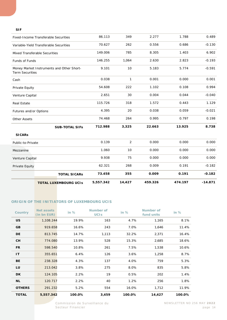#### **SIF**

| <b>TOTAL SICARS</b>                                                 | 62.321<br>73.458 | 268<br>355 | 0.009<br>0.009  | 0.191<br>0.191 | $-0.182$<br>$-0.182$ |
|---------------------------------------------------------------------|------------------|------------|-----------------|----------------|----------------------|
|                                                                     |                  |            |                 |                |                      |
|                                                                     |                  |            |                 |                |                      |
|                                                                     |                  | 75         | 0.000           | 0.000          | 0.000                |
|                                                                     | 1.060            | 10         | 0.000           | 0.000          | 0.000                |
| Public-to-Private                                                   | 0.139            | $\sqrt{2}$ | 0.000           | 0.000          | 0.000                |
|                                                                     |                  |            |                 |                |                      |
| <b>SUB-TOTAL SIFs</b>                                               | 712.988          | 3,325      | 22.663          | 13.925         | 8.738                |
|                                                                     | 74.468           | 264        | 0.995           | 0.797          | 0.198                |
| Futures and/or Options                                              | 4.395            | 20         | 0.038           | 0.059          | $-0.021$             |
|                                                                     | 115.726          | 318        | 1.572           | 0.443          | 1.129                |
| Venture Capital                                                     | 2.651            | 30         | 0.004           | 0.044          | $-0.040$             |
|                                                                     | 54.608           | 222        | 1.102           | 0.108          | 0.994                |
|                                                                     | 0.038            | 1          | 0.001           | 0.000          | 0.001                |
| Money Market Instruments and Other Short-<br><b>Term Securities</b> | 9.101            | 10         | 5.183           | 5.774          | $-0.591$             |
| Funds of Funds                                                      | 146.255          | 1,064      | 2.630           | 2.823          | $-0.193$             |
| <b>Mixed Transferable Securities</b>                                | 149.006          | 785        | 8.305           | 1.403          | 6.902                |
| Variable-Yield Transferable Securities                              | 70.627           | 262        | 0.556           | 0.686          | $-0.130$             |
| Fixed-Income Transferable Securities                                | 86.113           | 349        | 2.277           | 1.788          | 0.489                |
|                                                                     |                  | 9.938      | Venture Capital |                |                      |

#### **ORIGIN OF THE INITIATORS OF LUXEMBOURG UCIS**

| <b>Country</b> | Net assets<br>(in bn EUR) | in $%$ | Number of<br><b>UCIS</b> | in $%$ | Number of<br>fund units | in $%$ |
|----------------|---------------------------|--------|--------------------------|--------|-------------------------|--------|
| <b>US</b>      | 1,108.244                 | 19.9%  | 163                      | 4.7%   | 1,165                   | 8.1%   |
| GB             | 919.658                   | 16.6%  | 243                      | 7.0%   | 1,646                   | 11.4%  |
| <b>DE</b>      | 813.745                   | 14.7%  | 1,113                    | 32.2%  | 2,371                   | 16.4%  |
| <b>CH</b>      | 774.080                   | 13.9%  | 528                      | 15.3%  | 2,685                   | 18.6%  |
| <b>FR</b>      | 598.540                   | 10.8%  | 261                      | 7.5%   | 1,538                   | 10.6%  |
| IT             | 355.651                   | 6.4%   | 126                      | 3.6%   | 1,258                   | 8.7%   |
| <b>BE</b>      | 238.328                   | 4.3%   | 137                      | 4.0%   | 759                     | 5.3%   |
| LU             | 213.042                   | 3.8%   | 275                      | 8.0%   | 835                     | 5.8%   |
| <b>DK</b>      | 124.105                   | 2.2%   | 19                       | 0.5%   | 202                     | 1.4%   |
| NL.            | 120.717                   | 2.2%   | 40                       | 1.2%   | 256                     | 1.8%   |
| <b>OTHERS</b>  | 291.232                   | 5.2%   | 554                      | 16.0%  | 1,712                   | 11.9%  |
| <b>TOTAL</b>   | 5,557.342                 | 100.0% | 3,459                    | 100.0% | 14,427                  | 100.0% |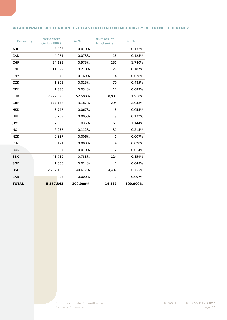#### **BREAKDOWN OF UCI FUND UNITS REGISTERED IN LUXEMBOURG BY REFERENCE CURRENCY**

| <b>Currency</b> | <b>Net assets</b><br>(in bn EUR) | in $%$   | <b>Number of</b><br>fund units | in $%$   |
|-----------------|----------------------------------|----------|--------------------------------|----------|
| <b>AUD</b>      | 3.874                            | 0.070%   | 19                             | 0.132%   |
| CAD             | 4.071                            | 0.073%   | 18                             | 0.125%   |
| <b>CHF</b>      | 54.185                           | 0.975%   | 251                            | 1.740%   |
| <b>CNH</b>      | 11.692                           | 0.210%   | 27                             | 0.187%   |
| <b>CNY</b>      | 9.378                            | 0.169%   | $\overline{4}$                 | 0.028%   |
| <b>CZK</b>      | 1.391                            | 0.025%   | 70                             | 0.485%   |
| <b>DKK</b>      | 1.880                            | 0.034%   | 12                             | 0.083%   |
| <b>EUR</b>      | 2,922.625                        | 52.590%  | 8,933                          | 61.918%  |
| GBP             | 177.138                          | 3.187%   | 294                            | 2.038%   |
| <b>HKD</b>      | 3.747                            | 0.067%   | 8                              | 0.055%   |
| <b>HUF</b>      | 0.259                            | 0.005%   | 19                             | 0.132%   |
| <b>JPY</b>      | 57.503                           | 1.035%   | 165                            | 1.144%   |
| <b>NOK</b>      | 6.237                            | 0.112%   | 31                             | 0.215%   |
| <b>NZD</b>      | 0.337                            | 0.006%   | 1                              | 0.007%   |
| <b>PLN</b>      | 0.171                            | 0.003%   | 4                              | 0.028%   |
| <b>RON</b>      | 0.537                            | 0.010%   | 2                              | 0.014%   |
| <b>SEK</b>      | 43.789                           | 0.788%   | 124                            | 0.859%   |
| <b>SGD</b>      | 1.306                            | 0.024%   | $\overline{7}$                 | 0.048%   |
| <b>USD</b>      | 2,257.199                        | 40.617%  | 4,437                          | 30.755%  |
| ZAR             | 0.023                            | 0.000%   | 1                              | 0.007%   |
| <b>TOTAL</b>    | 5,557.342                        | 100.000% | 14,427                         | 100.000% |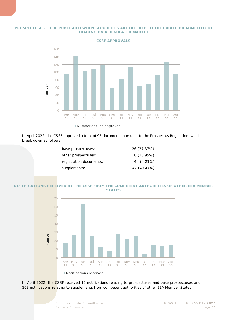#### **PROSPECTUSES TO BE PUBLISHED WHEN SECURITIES ARE OFFERED TO THE PUBLIC OR ADMITTED TO TRADING ON A REGULATED MARKET**



**CSSF APPROVALS**

In April 2022, the CSSF approved a total of 95 documents pursuant to the Prospectus Regulation, which break down as follows:

| 26 (27.37%) |
|-------------|
| 18 (18.95%) |
| $4(4.21\%)$ |
| 47 (49.47%) |
|             |

#### **NOTIFICATIONS RECEIVED BY THE CSSF FROM THE COMPETENT AUTHORITIES OF OTHER EEA MEMBER STATES**



In April 2022, the CSSF received 15 notifications relating to prospectuses and base prospectuses and 108 notifications relating to supplements from competent authorities of other EEA Member States.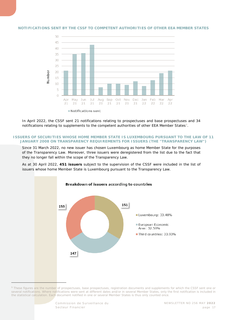

#### **NOTIFICATIONS SENT BY THE CSSF TO COMPETENT AUTHORITIES OF OTHER EEA MEMBER STATES**

In April 2022, the CSSF sent 21 notifications relating to prospectuses and base prospectuses and 34 notifications relating to supplements to the competent authorities of other EEA Member States<sup>[9](#page-16-0)</sup>.

#### **ISSUERS OF SECURITIES WHOSE HOME MEMBER STATE IS LUXEMBOURG PURSUANT TO THE LAW OF 11 JANUARY 2008 ON TRANSPARENCY REQUIREMENTS FOR ISSUERS (THE "TRANSPARENCY LAW")**

Since 31 March 2022, no new issuer has chosen Luxembourg as home Member State for the purposes of the Transparency Law. Moreover, three issuers were deregistered from the list due to the fact that they no longer fall within the scope of the Transparency Law.

As at 30 April 2022, **451 issuers** subject to the supervision of the CSSF were included in the list of issuers whose home Member State is Luxembourg pursuant to the Transparency Law.



<span id="page-16-0"></span>*<sup>9</sup> These figures are the number of prospectuses, base prospectuses, registration documents and supplements for which the CSSF sent one or several notifications. Where notifications were sent at different dates and/or in several Member States, only the first notification is included in the statistical calculation. Each document notified in one or several Member States is thus only counted once.*

j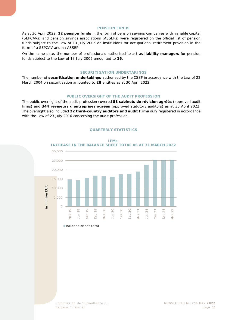#### **PENSION FUNDS**

As at 30 April 2022, **12 pension funds** in the form of pension savings companies with variable capital (SEPCAVs) and pension savings associations (ASSEPs) were registered on the official list of pension funds subject to the Law of 13 July 2005 on institutions for occupational retirement provision in the form of a SEPCAV and an ASSEP.

On the same date, the number of professionals authorised to act as **liability managers** for pension funds subject to the Law of 13 July 2005 amounted to **16**.

#### **SECURITISATION UNDERTAKINGS**

The number of **securitisation undertakings** authorised by the CSSF in accordance with the Law of 22 March 2004 on securitisation amounted to **28** entities as at 30 April 2022.

#### **PUBLIC OVERSIGHT OF THE AUDIT PROFESSION**

<span id="page-17-0"></span>The public oversight of the audit profession covered **53** *cabinets de révision agréés* (approved audit firms) and **344** *réviseurs d'entreprises agréés* (approved statutory auditors) as at 30 April 2022. The oversight also included **22 third-country auditors and audit firms** duly registered in accordance with the Law of 23 July 2016 concerning the audit profession.



#### **QUARTERLY STATISTICS**

Balance sheet total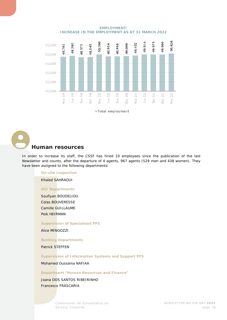

**EMPLOYMENT: INCREASE IN THE EMPLOYMENT AS AT 31 MARCH 2022**

Total employment

## <span id="page-18-0"></span>**Human resources**

In order to increase its staff, the CSSF has hired 10 employees since the publication of the last Newsletter and counts, after the departure of 4 agents, 967 agents (529 men and 438 women). They have been assigned to the following departments:

#### **On-site Inspection**

Khaled SAHRAOUI

#### **UCI Departments**

Soufiyan BOUDELIOU Colas BOUVERESSE Camille GUILLAUME Peik HEIRMAN

#### **Supervision of Specialised PFS**

Alice MINGOZZI

#### **Banking Departments**

Patrick STEFFEN

#### **Supervision of Information Systems and Support PFS**

Mohamed Oussama NAFIAA

#### **Department "Human Resources and Finance"**

Joana DOS SANTOS RIBEIRINHO Francesco FRASCARIA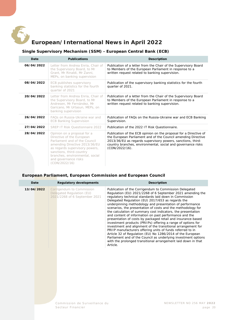<span id="page-19-0"></span>

## **European/International News in April 2022**

#### **Single Supervisory Mechanism (SSM) - European Central Bank (ECB)**

<span id="page-19-1"></span>

| Date       | <b>Publications</b>                                                                                                                                                                                                                                                  | <b>Description</b>                                                                                                                                                                                                                                                                  |
|------------|----------------------------------------------------------------------------------------------------------------------------------------------------------------------------------------------------------------------------------------------------------------------|-------------------------------------------------------------------------------------------------------------------------------------------------------------------------------------------------------------------------------------------------------------------------------------|
| 06/04/2022 | Letter from Andrea Enria, Chair of<br>the Supervisory Board, to Mr<br>Grant, Mr Rinaldi, Mr Zanni,<br>MEPs, on banking supervision                                                                                                                                   | Publication of a letter from the Chair of the Supervisory Board<br>to Members of the European Parliament in response to a<br>written request related to banking supervision.                                                                                                        |
| 08/04/2022 | ECB publishes supervisory<br>banking statistics for the fourth<br>quarter of 2021                                                                                                                                                                                    | Publication of the supervisory banking statistics for the fourth<br>quarter of 2021.                                                                                                                                                                                                |
| 20/04/2022 | Letter from Andrea Enria, Chair of<br>the Supervisory Board, to Mr<br>Andresen, Mr Fernández, Mr<br>Garicano, Mr Urtasun, MEPs, on<br>banking supervision                                                                                                            | Publication of a letter from the Chair of the Supervisory Board<br>to Members of the European Parliament in response to a<br>written request related to banking supervision.                                                                                                        |
| 26/04/2022 | FAOs on Russia-Ukraine war and<br><b>ECB Banking Supervision</b>                                                                                                                                                                                                     | Publication of FAQs on the Russia-Ukraine war and ECB Banking<br>Supervision.                                                                                                                                                                                                       |
| 27/04/2022 | SREP IT Risk Ouestionnaire 2022                                                                                                                                                                                                                                      | Publication of the 2022 IT Risk Ouestionnaire.                                                                                                                                                                                                                                      |
| 28/04/2022 | Opinion on a proposal for a<br>Directive of the European<br>Parliament and of the Council<br>amending Directive 2013/36/EU<br>as regards supervisory powers,<br>sanctions, third-country<br>branches, environmental, social<br>and governance risks<br>(CON/2022/16) | Publication of the ECB opinion on the proposal for a Directive of<br>the European Parliament and of the Council amending Directive<br>2013/36/EU as regards supervisory powers, sanctions, third-<br>country branches, environmental, social and governance risks<br>(CON/2022/16). |

#### <span id="page-19-2"></span>**European Parliament, European Commission and European Council**

| Date       | <b>Regulatory developments</b>                                                          | <b>Description</b>                                                                                                                                                                                                                                                                                                                                                                                                                                                                                                                                                                                                                                                                                                                                                                                                                                                                                                                                                   |
|------------|-----------------------------------------------------------------------------------------|----------------------------------------------------------------------------------------------------------------------------------------------------------------------------------------------------------------------------------------------------------------------------------------------------------------------------------------------------------------------------------------------------------------------------------------------------------------------------------------------------------------------------------------------------------------------------------------------------------------------------------------------------------------------------------------------------------------------------------------------------------------------------------------------------------------------------------------------------------------------------------------------------------------------------------------------------------------------|
| 13/04/2022 | Corrigendum to Commission<br>Delegated Regulation (EU)<br>2021/2268 of 6 September 2021 | Publication of the Corrigendum to Commission Delegated<br>Regulation (EU) 2021/2268 of 6 September 2021 amending the<br>regulatory technical standards laid down in Commission<br>Delegated Regulation (EU) 2017/653 as regards the<br>underpinning methodology and presentation of performance<br>scenarios, the presentation of costs and the methodology for<br>the calculation of summary cost indicators, the presentation<br>and content of information on past performance and the<br>presentation of costs by packaged retail and insurance-based<br>investment products (PRIIPs) offering a range of options for<br>investment and alignment of the transitional arrangement for<br>PRIIP manufacturers offering units of funds referred to in<br>Article 32 of Regulation (EU) No 1286/2014 of the European<br>Parliament and of the Council as underlying investment options<br>with the prolonged transitional arrangement laid down in that<br>Article. |
|            | Commission de Surveillance du                                                           | NEWSLETTER NO 256 MAY                                                                                                                                                                                                                                                                                                                                                                                                                                                                                                                                                                                                                                                                                                                                                                                                                                                                                                                                                |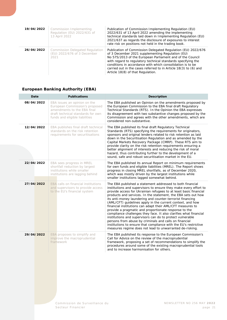| 19/04/2022 | Commission Implementing<br>Regulation (EU) 2022/631 of<br>13 April 2022       | Publication of Commission Implementing Regulation (EU)<br>2022/631 of 13 April 2022 amending the implementing<br>technical standards laid down in Implementing Regulation (EU)<br>2021/637 as regards the disclosure of exposures to interest<br>rate risk on positions not held in the trading book.                                                                                                                |
|------------|-------------------------------------------------------------------------------|----------------------------------------------------------------------------------------------------------------------------------------------------------------------------------------------------------------------------------------------------------------------------------------------------------------------------------------------------------------------------------------------------------------------|
| 26/04/2022 | <b>Commission Delegated Regulation</b><br>(EU) 2022/676 of 3 December<br>2021 | Publication of Commission Delegated Regulation (EU) 2022/676<br>of 3 December 2021 supplementing Regulation (EU)<br>No 575/2013 of the European Parliament and of the Council<br>with regard to regulatory technical standards specifying the<br>conditions in accordance with which consolidation is to be<br>carried out in the cases referred to in Article 18(3) to (6) and<br>Article 18(8) of that Regulation. |

#### **European Banking Authority (EBA)**

<span id="page-20-0"></span>

| Date       | <b>Publications</b>                                                                                                                                                  | Description                                                                                                                                                                                                                                                                                                                                                                                                                                                                                                                                                                                                                                                                                                                                                                                                                                       |
|------------|----------------------------------------------------------------------------------------------------------------------------------------------------------------------|---------------------------------------------------------------------------------------------------------------------------------------------------------------------------------------------------------------------------------------------------------------------------------------------------------------------------------------------------------------------------------------------------------------------------------------------------------------------------------------------------------------------------------------------------------------------------------------------------------------------------------------------------------------------------------------------------------------------------------------------------------------------------------------------------------------------------------------------------|
| 08/04/2022 | EBA issues an opinion on the<br>European Commission's proposed<br>amendments to the EBA final<br>draft technical standards for own<br>funds and eligible liabilities | The EBA published an Opinion on the amendments proposed by<br>the European Commission to the EBA final draft Regulatory<br>Technical Standards (RTS). In the Opinion the EBA expresses<br>its disagreement with two substantive changes proposed by the<br>Commission and agrees with the other amendments, which are<br>considered non-substantive.                                                                                                                                                                                                                                                                                                                                                                                                                                                                                              |
| 12/04/2022 | EBA publishes final draft technical<br>standards on the risk retention<br>requirements for securitisations                                                           | The EBA published its final draft Regulatory Technical<br>Standards (RTS) specifying the requirements for originators,<br>sponsors and original lenders related to risk retention as laid<br>down in the Securitisation Regulation and as amended by the<br>Capital Markets Recovery Package (CMRP). These RTS aim to<br>provide clarity on the risk retention requirements ensuring a<br>better alignment of interests and reducing the risk of moral<br>hazard, thus contributing further to the development of a<br>sound, safe and robust securitisation market in the EU.                                                                                                                                                                                                                                                                    |
| 22/04/2022 | EBA sees progress in MREL<br>shortfall reduction by largest<br>institutions while smaller<br>institutions are lagging behind                                         | The EBA published its annual Report on minimum requirements<br>for own funds and eligible liabilities (MREL). The Report shows<br>progress in closing MREL shortfalls, as of December 2020,<br>which was mostly driven by the largest institutions while<br>smaller institutions lagged somewhat behind.                                                                                                                                                                                                                                                                                                                                                                                                                                                                                                                                          |
| 27/04/2022 | EBA calls on financial institutions<br>and supervisors to provide access<br>to the EU's financial system                                                             | The EBA published a statement addressed to both financial<br>institutions and supervisors to ensure they make every effort to<br>provide access for Ukrainian refugees to at least basic financial<br>products and services. In the statement, the EBA sets out how<br>its anti-money laundering and counter-terrorist financing<br>(AML/CFT) guidelines apply in the current context, and how<br>financial institutions can adapt their AML/CFT measures to<br>provide a pragmatic and proportionate response to the<br>compliance challenges they face. It also clarifies what financial<br>institutions and supervisors can do to protect vulnerable<br>persons from abuse by criminals and calls on financial<br>institutions to ensure that compliance with the EU's restrictive<br>measures regime does not lead to unwarranted de-risking. |
| 29/04/2022 | EBA proposes to simplify and<br>improve the macroprudential<br>framework                                                                                             | The EBA published its response to the European Commission's<br>Call for Advice on the review of the macroprudential<br>framework, proposing a set of recommendations to simplify the<br>procedures around some of the existing macroprudential tools<br>and to increase harmonisation for others.                                                                                                                                                                                                                                                                                                                                                                                                                                                                                                                                                 |
|            |                                                                                                                                                                      |                                                                                                                                                                                                                                                                                                                                                                                                                                                                                                                                                                                                                                                                                                                                                                                                                                                   |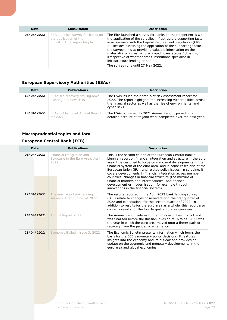| Date       | Consultation                                                                                   | <b>Description</b>                                                                                                                                                                                                                                                                                                                                                                                                                                                                                                                   |
|------------|------------------------------------------------------------------------------------------------|--------------------------------------------------------------------------------------------------------------------------------------------------------------------------------------------------------------------------------------------------------------------------------------------------------------------------------------------------------------------------------------------------------------------------------------------------------------------------------------------------------------------------------------|
| 05/04/2022 | EBA launches survey for banks on<br>the application of the<br>infrastructure supporting factor | The EBA launched a survey for banks on their experiences with<br>the application of the so-called infrastructure supporting factor<br>in accordance with the Capital Requirement Regulation (CRR<br>2). Besides assessing the application of the supporting factor,<br>the survey aims at providing valuable information on the<br>materiality of infrastructure project loans across EU banks,<br>irrespective of whether credit institutions specialise in<br>infrastructure lending or not.<br>The survey runs until 27 May 2022. |

#### **European Supervisory Authorities (ESAs)**

<span id="page-21-0"></span>

| Date       | <b>Publications</b>                                       | <b>Description</b>                                                                                                                                                                                                 |
|------------|-----------------------------------------------------------|--------------------------------------------------------------------------------------------------------------------------------------------------------------------------------------------------------------------|
| 13/04/2022 | ESAs see recovery stalling amid<br>existing and new risks | The ESAs issued their first joint risk assessment report for<br>2022. The report highlights the increasing vulnerabilities across<br>the financial sector as well as the rise of environmental and<br>cyber risks. |
| 19/04/2022 | ESAs publish joint Annual Report<br>for 2021              | The ESAs published its 2021 Annual Report, providing a<br>detailed account of its joint work completed over the past year.                                                                                         |

#### <span id="page-21-1"></span>**Macroprudential topics and fora**

#### **European Central Bank (ECB)**

| Date       | <b>Publications</b>                                                    | <b>Description</b>                                                                                                                                                                                                                                                                                                                                                                                                                                                                                                                                                                                                        |
|------------|------------------------------------------------------------------------|---------------------------------------------------------------------------------------------------------------------------------------------------------------------------------------------------------------------------------------------------------------------------------------------------------------------------------------------------------------------------------------------------------------------------------------------------------------------------------------------------------------------------------------------------------------------------------------------------------------------------|
| 06/04/2022 | Financial Integration and<br>Structure in the Euro Area, April<br>2022 | This is the second edition of the European Central Bank's<br>biennial report on financial integration and structure in the euro<br>area. It is designed to focus on structural developments in the<br>financial system of the euro area, and in some cases also of the<br>European Union (EU), and related policy issues. In so doing, it<br>covers developments in financial integration across member<br>countries, changes in financial structure (the mixture of<br>financial markets and intermediaries) and financial<br>development or modernisation (for example through<br>innovations in the financial system). |
| 12/04/2022 | The euro area bank lending<br>survey - First quarter of 2022           | The results reported in the April 2022 bank lending survey<br>(BLS) relate to changes observed during the first quarter of<br>2022 and expectations for the second quarter of 2022. In<br>addition to results for the euro area as a whole, this report also<br>contains results for the four largest euro area countries.                                                                                                                                                                                                                                                                                                |
| 28/04/2022 | Annual Report 2021                                                     | The Annual Report relates to the ECB's activities in 2021 and<br>was finalised before the Russian invasion of Ukraine, 2021 was<br>the year in which the euro area moved onto a firmer path of<br>recovery from the pandemic emergency.                                                                                                                                                                                                                                                                                                                                                                                   |
| 28/04/2022 | Economic Bulletin Issue 3, 2022                                        | The Economic Bulletin presents information which forms the<br>basis for the ECB's monetary policy decisions. It features<br>insights into the economy and its outlook and provides an<br>update on the economic and monetary developments in the<br>euro area and global economies.                                                                                                                                                                                                                                                                                                                                       |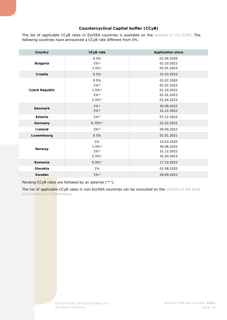#### **Countercyclical Capital buffer (CCyB)**

The list of applicable CCyB rates in EU/EEA countries is available on the [website of the ESRB.](https://www.esrb.europa.eu/national_policy/ccb/all_rates/html/index.en.html) The following countries have announced a CCyB rate different from 0%:

| Country               | <b>CCyB</b> rate                                 | <b>Application since</b>                                           |
|-----------------------|--------------------------------------------------|--------------------------------------------------------------------|
| <b>Bulgaria</b>       | 0.5%<br>$1\%*$<br>$1.5\%*$                       | 01.04.2020<br>01.10.2022<br>01.01.2023                             |
| Croatia               | 0.5%                                             | 31.03.2023                                                         |
| <b>Czech Republic</b> | 0.5%<br>$1\%$ *<br>$1.5%$ *<br>$2\%*$<br>$2.5%*$ | 01.07.2020<br>01.07.2022<br>01.10.2022<br>01.01.2023<br>01.04.2023 |
| <b>Denmark</b>        | $1\%*$<br>$2\%*$                                 | 30.09.2022<br>31.12.2022                                           |
| Estonia               | $1\%*$                                           | 07.12.2022                                                         |
| Germany               | $0.75\%*$                                        | 01.02.2023                                                         |
| <b>I</b> celand       | $2\%*$                                           | 29.09.2022                                                         |
| Luxembourg            | 0.5%                                             | 01.01.2021                                                         |
| Norway                | 1%<br>$1.5%$ *<br>$2\%*$<br>$2.5%$ *             | 13.03.2020<br>30.06.2022<br>31.12.2022<br>31.03.2023               |
| Romania               | $0.5%*$                                          | 17.10.2022                                                         |
| Slovakia              | 1%                                               | 01.08.2020                                                         |
| Sweden                | $1\%$ *                                          | 29.09.2022                                                         |

Pending CCyB rates are followed by an asterisk ("\*").

The list of applicable CCyB rates in non-EU/EEA countries can be consulted on the website of the Bank [of International Settlements.](https://www.bis.org/bcbs/ccyb/)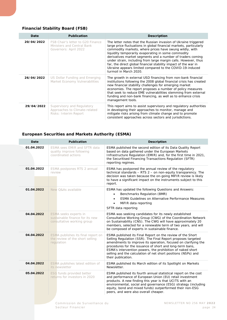#### **Financial Stability Board (FSB)**

| Date       | <b>Publication</b>                                                                       | <b>Description</b>                                                                                                                                                                                                                                                                                                                                                                                                                                                                                                                               |
|------------|------------------------------------------------------------------------------------------|--------------------------------------------------------------------------------------------------------------------------------------------------------------------------------------------------------------------------------------------------------------------------------------------------------------------------------------------------------------------------------------------------------------------------------------------------------------------------------------------------------------------------------------------------|
| 20/04/2022 | FSB Chair's letter to G20 Finance<br>Ministers and Central Bank<br>Governors: April 2022 | The letter notes that the Russian invasion of Ukraine triggered<br>large price fluctuations in global financial markets, particularly<br>commodity markets, where prices have swung wildly, with<br>liquidity temporarily evaporating in some commodity<br>derivatives market segments and a number of traders coming<br>under strain, including from large margin calls. However, thus<br>far, the direct global financial stability impact of the war in<br>Ukraine appears limited compared to the COVID-19-induced<br>turmoil in March 2020. |
| 26/04/2022 | US Dollar Funding and Emerging<br>Market Economy Vulnerabilities                         | The growth in external USD financing from non-bank financial<br>institutions following the 2008 global financial crisis has created<br>new financial stability challenges for emerging market<br>economies. The report proposes a number of policy measures<br>that seek to reduce EME vulnerabilities stemming from external<br>funding and non-bank financing, as well as to enhance crisis<br>management tools.                                                                                                                               |
| 29/04/2022 | Supervisory and Regulatory<br>Approaches to Climate-related<br>Risks: Interim Report     | This report aims to assist supervisory and regulatory authorities<br>in developing their approaches to monitor, manage and<br>mitigate risks arising from climate change and to promote<br>consistent approaches across sectors and jurisdictions.                                                                                                                                                                                                                                                                                               |

#### **European Securities and Markets Authority (ESMA)**

<span id="page-23-0"></span>

| Date       | <b>Publication</b>                                                                     | <b>Description</b>                                                                                                                                                                                                                                                                                                                                                                                            |
|------------|----------------------------------------------------------------------------------------|---------------------------------------------------------------------------------------------------------------------------------------------------------------------------------------------------------------------------------------------------------------------------------------------------------------------------------------------------------------------------------------------------------------|
| 01.04.2022 | ESMA sees EMIR and SFTR data<br>quality improve following<br>coordinated actions       | ESMA published the second edition of its Data Quality Report<br>based on data gathered under the European Markets<br>Infrastructure Regulation (EMIR) and, for the first time in 2021,<br>the Securitised Financing Transactions Regulation (SFTR)<br>reporting regimes.                                                                                                                                      |
| 01.04.2022 | ESMA postpones RTS 2 annual<br>review                                                  | ESMA has postponed the annual review of the regulatory<br>technical standards - RTS 2 - on non-equity transparency. The<br>decision was taken because the on-going MiFIR review is likely<br>to have a significant impact on the instruments subject to this<br>report.                                                                                                                                       |
| 01.04.2022 | New O&As available                                                                     | ESMA has updated the following Questions and Answers:<br>Benchmarks Regulation (BMR)<br><b>ESMA Guidelines on Alternative Performance Measures</b><br>$\bullet$<br>MiFIR data reporting<br>$\bullet$<br>SFTR data reporting                                                                                                                                                                                   |
| 04.04.2022 | ESMA seeks experts in<br>sustainable finance for its new<br>consultative working group | ESMA was seeking candidates for its newly established<br>Consultative Working Group (CWG) of the Coordination Network<br>on Sustainability (CNS). The CWG will have approximately 20<br>members, selected for a renewable term of two years, and will<br>be composed of experts in sustainable finance.                                                                                                       |
| 04.04.2022 | ESMA publishes its final report on<br>the review of the short selling<br>requlation    | ESMA published its Final Report on the review of the Short<br>Selling Regulation (SSR). The Final Report proposes targeted<br>amendments to improve its operation, focused on clarifying the<br>procedures for the issuance of short and long-term bans,<br>ESMA's intervention powers, the prohibition of naked short<br>selling and the calculation of net short positions (NSPs) and<br>their publication. |
| 04.04.2022 | ESMA publishes latest edition of<br>its newsletter                                     | ESMA published its March edition of its Spotlight on Markets<br>Newsletter.                                                                                                                                                                                                                                                                                                                                   |
| 05.04.2022 | ESG funds provided better<br>returns for investors in 2020                             | ESMA published its fourth annual statistical report on the cost<br>and performance of European Union (EU) retail investment<br>products. A new finding this year is that UCITS with an<br>environmental, social and governance (ESG) strategy (including<br>equity, bond and mixed funds) outperformed their non-ESG<br>peers, and were also overall cheaper.                                                 |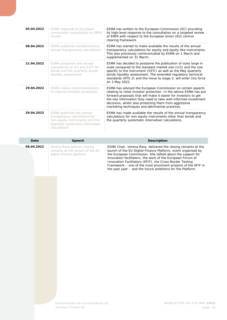| 05.04.2022 | <b>ESMA</b> responds to European<br>commission consultation on EMIR<br>review                                                                     | ESMA has written to the European Commission (EC) providing<br>its high-level response to the consultation on a targeted review<br>of EMIR with respect to the European Union (EU) central<br>clearing framework.                                                                                                                                                                    |
|------------|---------------------------------------------------------------------------------------------------------------------------------------------------|-------------------------------------------------------------------------------------------------------------------------------------------------------------------------------------------------------------------------------------------------------------------------------------------------------------------------------------------------------------------------------------|
| 08.04.2022 | ESMA publishes complementary<br>annual transparency calculations                                                                                  | ESMA has started to make available the results of the annual<br>transparency calculations for equity and equity-like instruments.<br>This was previously communicated by ESMA on 1 March and<br>supplemented on 31 March.                                                                                                                                                           |
| 21.04.2022 | ESMA postpones the annual<br>calculations of LIS and SSTI for<br>bonds and the quarterly bonds<br>liquidity assessment                            | ESMA has decided to postpone the publication of sizes large in<br>scale compared to the standard market size (LIS) and the size<br>specific to the instrument (SSTI) as well as the May quarterly<br>bonds liquidity assessment. The amended regulatory technical<br>standards (RTS 2) and the move to stage 3, will enter into force<br>on 3 May 2022.                             |
| 29.04.2022 | ESMA makes recommendations<br>to improve investor protection                                                                                      | ESMA has advised the European Commission on certain aspects<br>relating to retail investor protection. In the advice ESMA has put<br>forward proposals that will make it easier for investors to get<br>the key information they need to take well-informed investment<br>decisions, whilst also protecting them from aggressive<br>marketing techniques and detrimental practices. |
| 29.04.2022 | ESMA publishes the annual<br>transparency calculations for<br>non-equity instruments and the<br>quarterly systematic internaliser<br>calculations | ESMA has made available the results of the annual transparency<br>calculations for non-equity instruments other than bonds and<br>the quarterly systematic internaliser calculations.                                                                                                                                                                                               |

| Date       | Speech                                                                                      | <b>Description</b>                                                                                                                                                                                                                                                                                                                                                                                                                                   |
|------------|---------------------------------------------------------------------------------------------|------------------------------------------------------------------------------------------------------------------------------------------------------------------------------------------------------------------------------------------------------------------------------------------------------------------------------------------------------------------------------------------------------------------------------------------------------|
| 08.04.2022 | Verena Ross delivers closing<br>remarks at the launch of the EU<br>digital finance platform | ESMA Chair, Verena Ross, delivered the closing remarks at the<br>launch of the EU Digital Finance Platform, event organised by<br>the European Commission. She talked about the support for<br>innovation facilitators, the work of the European Forum of<br>Innovation Facilitators (EFIF), the Cross-Border Testing<br>Framework – one of the most prominent projects of the EFIF in<br>the past year – and the future ambitions for the Platform. |